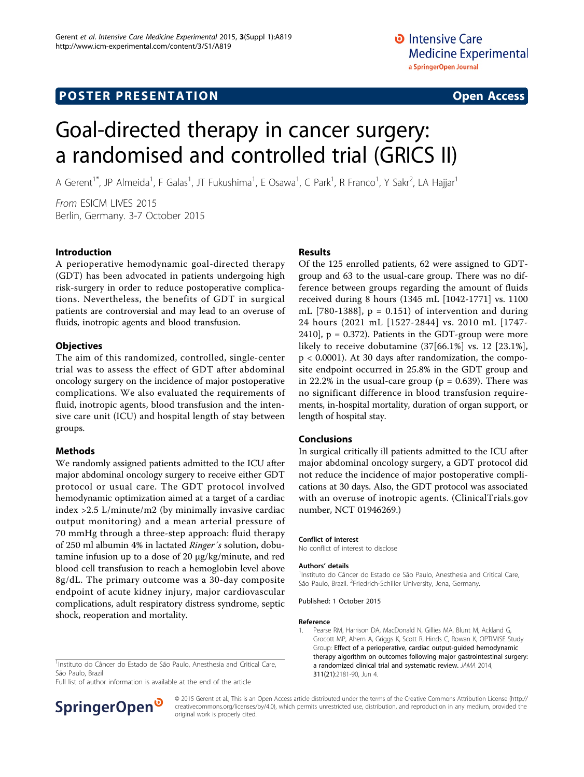# **POSTER PRESENTATION CONSUMING THE SERVICE SERVICE SERVICES**

# Goal-directed therapy in cancer surgery: a randomised and controlled trial (GRICS II)

A Gerent<sup>1\*</sup>, JP Almeida<sup>1</sup>, F Galas<sup>1</sup>, JT Fukushima<sup>1</sup>, E Osawa<sup>1</sup>, C Park<sup>1</sup>, R Franco<sup>1</sup>, Y Sakr<sup>2</sup>, LA Hajjar<sup>1</sup>

From ESICM LIVES 2015 Berlin, Germany. 3-7 October 2015

### Introduction

A perioperative hemodynamic goal-directed therapy (GDT) has been advocated in patients undergoing high risk-surgery in order to reduce postoperative complications. Nevertheless, the benefits of GDT in surgical patients are controversial and may lead to an overuse of fluids, inotropic agents and blood transfusion.

#### **Objectives**

The aim of this randomized, controlled, single-center trial was to assess the effect of GDT after abdominal oncology surgery on the incidence of major postoperative complications. We also evaluated the requirements of fluid, inotropic agents, blood transfusion and the intensive care unit (ICU) and hospital length of stay between groups.

### Methods

We randomly assigned patients admitted to the ICU after major abdominal oncology surgery to receive either GDT protocol or usual care. The GDT protocol involved hemodynamic optimization aimed at a target of a cardiac index >2.5 L/minute/m2 (by minimally invasive cardiac output monitoring) and a mean arterial pressure of 70 mmHg through a three-step approach: fluid therapy of 250 ml albumin 4% in lactated Ringer´s solution, dobutamine infusion up to a dose of 20 µg/kg/minute, and red blood cell transfusion to reach a hemoglobin level above 8g/dL. The primary outcome was a 30-day composite endpoint of acute kidney injury, major cardiovascular complications, adult respiratory distress syndrome, septic shock, reoperation and mortality.

#### <sup>1</sup>Instituto do Câncer do Estado de São Paulo, Anesthesia and Critical Care, São Paulo, Brazil

Full list of author information is available at the end of the article



#### Results

Of the 125 enrolled patients, 62 were assigned to GDTgroup and 63 to the usual-care group. There was no difference between groups regarding the amount of fluids received during 8 hours (1345 mL [1042-1771] vs. 1100 mL [780-1388],  $p = 0.151$ ) of intervention and during 24 hours (2021 mL [1527-2844] vs. 2010 mL [1747- 2410],  $p = 0.372$ ). Patients in the GDT-group were more likely to receive dobutamine (37[66.1%] vs. 12 [23.1%], p < 0.0001). At 30 days after randomization, the composite endpoint occurred in 25.8% in the GDT group and in 22.2% in the usual-care group ( $p = 0.639$ ). There was no significant difference in blood transfusion requirements, in-hospital mortality, duration of organ support, or length of hospital stay.

#### Conclusions

In surgical critically ill patients admitted to the ICU after major abdominal oncology surgery, a GDT protocol did not reduce the incidence of major postoperative complications at 30 days. Also, the GDT protocol was associated with an overuse of inotropic agents. (ClinicalTrials.gov number, NCT 01946269.)

#### Conflict of interest

No conflict of interest to disclose

#### Authors' details <sup>1</sup>

<sup>1</sup>Instituto do Câncer do Estado de São Paulo, Anesthesia and Critical Care, São Paulo, Brazil. <sup>2</sup>Friedrich-Schiller University, Jena, Germany.

#### Published: 1 October 2015

#### Reference

1. Pearse RM, Harrison DA, MacDonald N, Gillies MA, Blunt M, Ackland G, Grocott MP, Ahern A, Griggs K, Scott R, Hinds C, Rowan K, OPTIMISE Study Group: [Effect of a perioperative, cardiac output-guided hemodynamic](http://www.ncbi.nlm.nih.gov/pubmed/24842135?dopt=Abstract) [therapy algorithm on outcomes following major gastrointestinal surgery:](http://www.ncbi.nlm.nih.gov/pubmed/24842135?dopt=Abstract) [a randomized clinical trial and systematic review.](http://www.ncbi.nlm.nih.gov/pubmed/24842135?dopt=Abstract) JAMA 2014, 311(21):2181-90, Jun 4.

© 2015 Gerent et al.; This is an Open Access article distributed under the terms of the Creative Commons Attribution License [\(http://](http://creativecommons.org/licenses/by/4.0) [creativecommons.org/licenses/by/4.0](http://creativecommons.org/licenses/by/4.0)), which permits unrestricted use, distribution, and reproduction in any medium, provided the original work is properly cited.